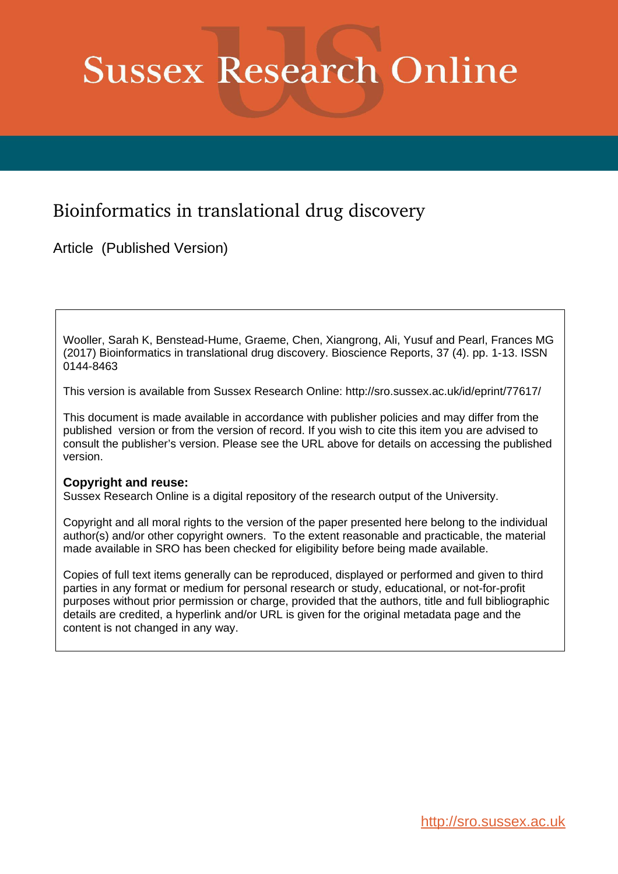# **Sussex Research Online**

## Bioinformatics in translational drug discovery

Article (Published Version)

Wooller, Sarah K, Benstead-Hume, Graeme, Chen, Xiangrong, Ali, Yusuf and Pearl, Frances MG (2017) Bioinformatics in translational drug discovery. Bioscience Reports, 37 (4). pp. 1-13. ISSN 0144-8463

This version is available from Sussex Research Online: http://sro.sussex.ac.uk/id/eprint/77617/

This document is made available in accordance with publisher policies and may differ from the published version or from the version of record. If you wish to cite this item you are advised to consult the publisher's version. Please see the URL above for details on accessing the published version.

## **Copyright and reuse:**

Sussex Research Online is a digital repository of the research output of the University.

Copyright and all moral rights to the version of the paper presented here belong to the individual author(s) and/or other copyright owners. To the extent reasonable and practicable, the material made available in SRO has been checked for eligibility before being made available.

Copies of full text items generally can be reproduced, displayed or performed and given to third parties in any format or medium for personal research or study, educational, or not-for-profit purposes without prior permission or charge, provided that the authors, title and full bibliographic details are credited, a hyperlink and/or URL is given for the original metadata page and the content is not changed in any way.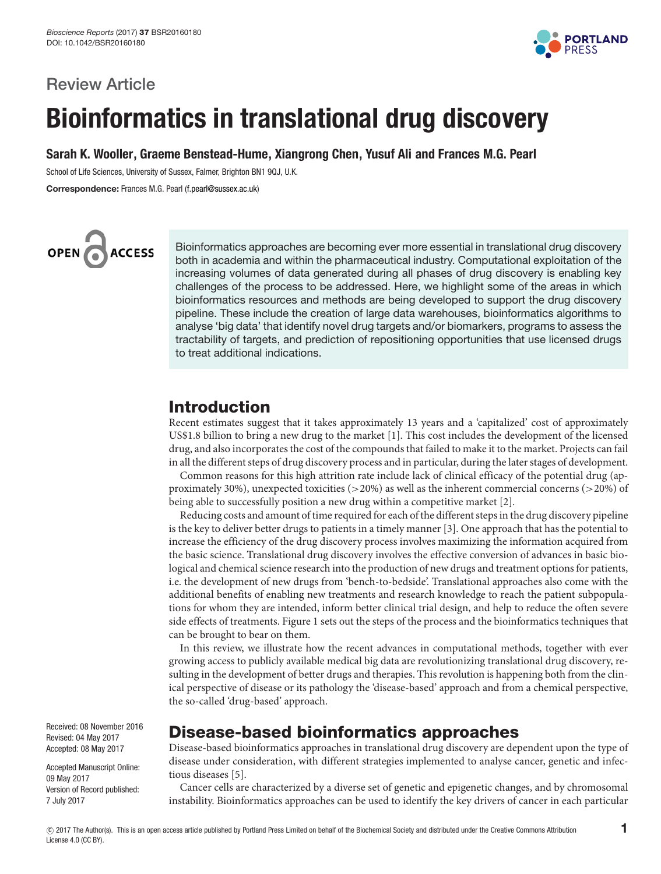

## Review Article

## Bioinformatics in translational drug discovery

Sarah K. Wooller, Graeme Benstead-Hume, Xiangrong Chen, Yusuf Ali and Frances M.G. Pearl

School of Life Sciences, University of Sussex, Falmer, Brighton BN1 9QJ, U.K.

Correspondence: Frances M.G. Pearl [\(f.pearl@sussex.ac.uk\)](mailto:f.pearl@sussex.ac.uk)



Bioinformatics approaches are becoming ever more essential in translational drug discovery both in academia and within the pharmaceutical industry. Computational exploitation of the increasing volumes of data generated during all phases of drug discovery is enabling key challenges of the process to be addressed. Here, we highlight some of the areas in which bioinformatics resources and methods are being developed to support the drug discovery pipeline. These include the creation of large data warehouses, bioinformatics algorithms to analyse 'big data' that identify novel drug targets and/or biomarkers, programs to assess the tractability of targets, and prediction of repositioning opportunities that use licensed drugs to treat additional indications.

## Introduction

Recent estimates suggest that it takes approximately 13 years and a 'capitalized' cost of approximately US\$1.8 billion to bring a new drug to the market [\[1\]](#page-9-0). This cost includes the development of the licensed drug, and also incorporates the cost of the compounds that failed to make it to the market. Projects can fail in all the different steps of drug discovery process and in particular, during the later stages of development.

Common reasons for this high attrition rate include lack of clinical efficacy of the potential drug (approximately 30%), unexpected toxicities (>20%) as well as the inherent commercial concerns (>20%) of being able to successfully position a new drug within a competitive market [\[2\]](#page-9-1).

Reducing costs and amount of time required for each of the different steps in the drug discovery pipeline is the key to deliver better drugs to patients in a timely manner [\[3\]](#page-9-2). One approach that has the potential to increase the efficiency of the drug discovery process involves maximizing the information acquired from the basic science. Translational drug discovery involves the effective conversion of advances in basic biological and chemical science research into the production of new drugs and treatment options for patients, i.e. the development of new drugs from 'bench-to-bedside'. Translational approaches also come with the additional benefits of enabling new treatments and research knowledge to reach the patient subpopulations for whom they are intended, inform better clinical trial design, and help to reduce the often severe side effects of treatments. [Figure](#page-2-0) 1 sets out the steps of the process and the bioinformatics techniques that can be brought to bear on them.

In this review, we illustrate how the recent advances in computational methods, together with ever growing access to publicly available medical big data are revolutionizing translational drug discovery, resulting in the development of better drugs and therapies. This revolution is happening both from the clinical perspective of disease or its pathology the 'disease-based' approach and from a chemical perspective, the so-called 'drug-based' approach.

## Disease-based bioinformatics approaches

Disease-based bioinformatics approaches in translational drug discovery are dependent upon the type of disease under consideration, with different strategies implemented to analyse cancer, genetic and infectious diseases [\[5\]](#page-9-3).

Cancer cells are characterized by a diverse set of genetic and epigenetic changes, and by chromosomal instability. Bioinformatics approaches can be used to identify the key drivers of cancer in each particular

Received: 08 November 2016 Revised: 04 May 2017 Accepted: 08 May 2017

Accepted Manuscript Online: 09 May 2017 Version of Record published: 7 July 2017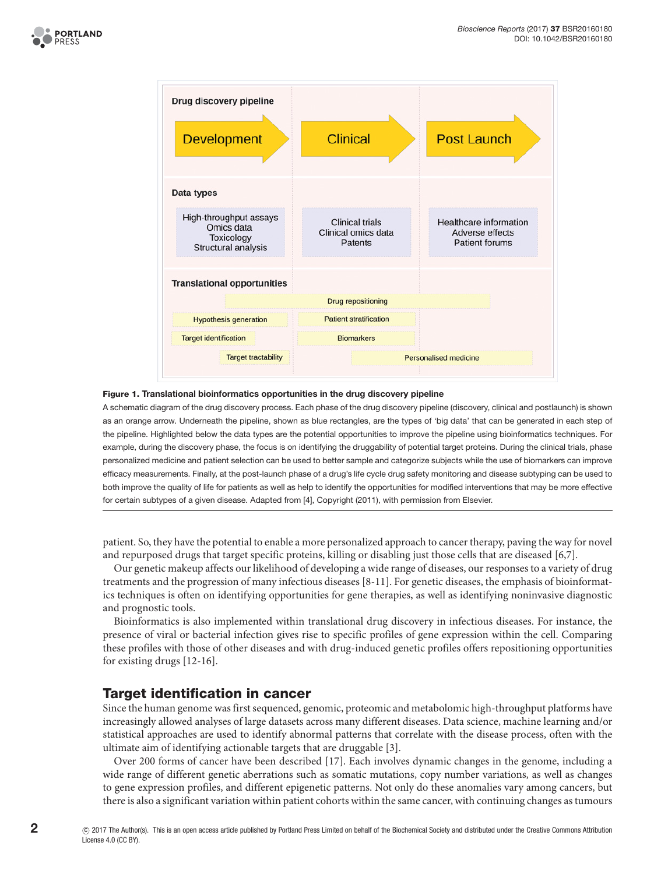



#### <span id="page-2-0"></span>Figure 1. Translational bioinformatics opportunities in the drug discovery pipeline

A schematic diagram of the drug discovery process. Each phase of the drug discovery pipeline (discovery, clinical and postlaunch) is shown as an orange arrow. Underneath the pipeline, shown as blue rectangles, are the types of 'big data' that can be generated in each step of the pipeline. Highlighted below the data types are the potential opportunities to improve the pipeline using bioinformatics techniques. For example, during the discovery phase, the focus is on identifying the druggability of potential target proteins. During the clinical trials, phase personalized medicine and patient selection can be used to better sample and categorize subjects while the use of biomarkers can improve effcacy measurements. Finally, at the post-launch phase of a drug's life cycle drug safety monitoring and disease subtyping can be used to both improve the quality of life for patients as well as help to identify the opportunities for modifed interventions that may be more effective for certain subtypes of a given disease. Adapted from [\[4\]](#page-9-4), Copyright (2011), with permission from Elsevier.

patient. So, they have the potential to enable a more personalized approach to cancer therapy, paving the way for novel and repurposed drugs that target specific proteins, killing or disabling just those cells that are diseased [\[6](#page-9-5)[,7\]](#page-9-6).

Our genetic makeup affects our likelihood of developing a wide range of diseases, our responses to a variety of drug treatments and the progression of many infectious diseases [\[8-11\]](#page-9-7). For genetic diseases, the emphasis of bioinformatics techniques is often on identifying opportunities for gene therapies, as well as identifying noninvasive diagnostic and prognostic tools.

Bioinformatics is also implemented within translational drug discovery in infectious diseases. For instance, the presence of viral or bacterial infection gives rise to specific profiles of gene expression within the cell. Comparing these profiles with those of other diseases and with drug-induced genetic profiles offers repositioning opportunities for existing drugs [\[12-16\]](#page-10-0).

## Target identification in cancer

Since the human genome was first sequenced, genomic, proteomic and metabolomic high-throughput platforms have increasingly allowed analyses of large datasets across many different diseases. Data science, machine learning and/or statistical approaches are used to identify abnormal patterns that correlate with the disease process, often with the ultimate aim of identifying actionable targets that are druggable [\[3\]](#page-9-2).

Over 200 forms of cancer have been described [\[17\]](#page-10-1). Each involves dynamic changes in the genome, including a wide range of different genetic aberrations such as somatic mutations, copy number variations, as well as changes to gene expression profiles, and different epigenetic patterns. Not only do these anomalies vary among cancers, but there is also a significant variation within patient cohorts within the same cancer, with continuing changes as tumours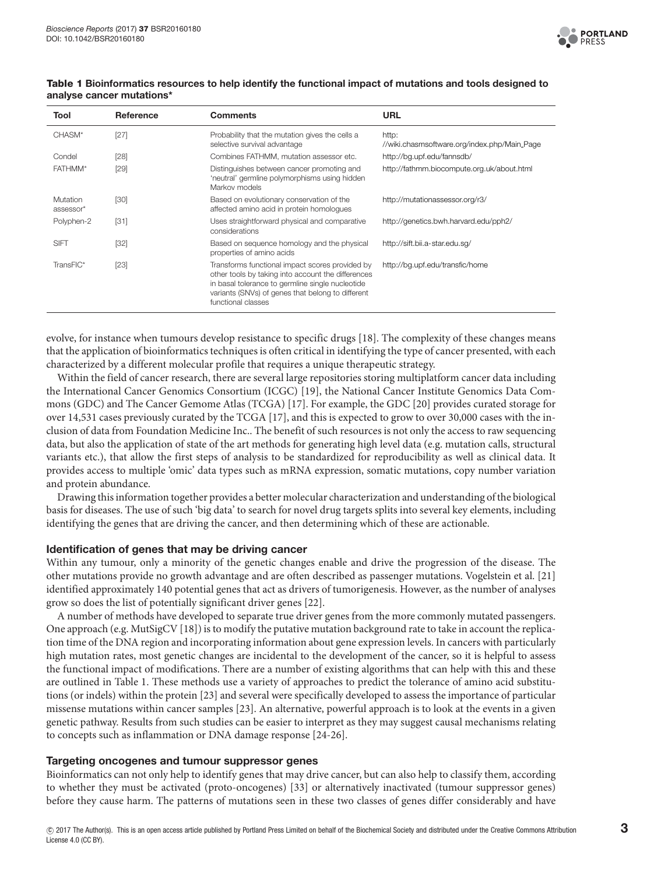

| Tool                  | Reference | <b>Comments</b>                                                                                                                                                                                                                      | <b>URL</b>                                            |
|-----------------------|-----------|--------------------------------------------------------------------------------------------------------------------------------------------------------------------------------------------------------------------------------------|-------------------------------------------------------|
| CHASM*                | $[27]$    | Probability that the mutation gives the cells a<br>selective survival advantage                                                                                                                                                      | http:<br>//wiki.chasmsoftware.org/index.php/Main_Page |
| Condel                | [28]      | Combines FATHMM, mutation assessor etc.                                                                                                                                                                                              | http://bq.upf.edu/fannsdb/                            |
| FATHMM <sup>*</sup>   | [29]      | Distinguishes between cancer promoting and<br>'neutral' germline polymorphisms using hidden<br>Markov models                                                                                                                         | http://fathmm.biocompute.org.uk/about.html            |
| Mutation<br>assessor* | $[30]$    | Based on evolutionary conservation of the<br>affected amino acid in protein homologues                                                                                                                                               | http://mutationassessor.org/r3/                       |
| Polyphen-2            | $[31]$    | Uses straightforward physical and comparative<br>considerations                                                                                                                                                                      | http://genetics.bwh.harvard.edu/pph2/                 |
| <b>SIFT</b>           | $[32]$    | Based on sequence homology and the physical<br>properties of amino acids                                                                                                                                                             | http://sift.bii.a-star.edu.sq/                        |
| TransFIC*             | $[23]$    | Transforms functional impact scores provided by<br>other tools by taking into account the differences<br>in basal tolerance to germline single nucleotide<br>variants (SNVs) of genes that belong to different<br>functional classes | http://bq.upf.edu/transfic/home                       |

#### <span id="page-3-0"></span>Table 1 Bioinformatics resources to help identify the functional impact of mutations and tools designed to analyse cancer mutations\*

evolve, for instance when tumours develop resistance to specific drugs [\[18\]](#page-10-9). The complexity of these changes means that the application of bioinformatics techniques is often critical in identifying the type of cancer presented, with each characterized by a different molecular profile that requires a unique therapeutic strategy.

Within the field of cancer research, there are several large repositories storing multiplatform cancer data including the International Cancer Genomics Consortium (ICGC) [\[19\]](#page-10-10), the National Cancer Institute Genomics Data Commons (GDC) and The Cancer Gemome Atlas (TCGA) [\[17\]](#page-10-1). For example, the GDC [\[20\]](#page-10-11) provides curated storage for over 14,531 cases previously curated by the TCGA [\[17\]](#page-10-1), and this is expected to grow to over 30,000 cases with the inclusion of data from Foundation Medicine Inc.. The benefit of such resources is not only the access to raw sequencing data, but also the application of state of the art methods for generating high level data (e.g. mutation calls, structural variants etc.), that allow the first steps of analysis to be standardized for reproducibility as well as clinical data. It provides access to multiple 'omic' data types such as mRNA expression, somatic mutations, copy number variation and protein abundance.

Drawing this information together provides a better molecular characterization and understanding of the biological basis for diseases. The use of such 'big data' to search for novel drug targets splits into several key elements, including identifying the genes that are driving the cancer, and then determining which of these are actionable.

## Identification of genes that may be driving cancer

Within any tumour, only a minority of the genetic changes enable and drive the progression of the disease. The other mutations provide no growth advantage and are often described as passenger mutations. Vogelstein et al. [\[21\]](#page-10-12) identified approximately 140 potential genes that act as drivers of tumorigenesis. However, as the number of analyses grow so does the list of potentially significant driver genes [\[22\]](#page-10-13).

A number of methods have developed to separate true driver genes from the more commonly mutated passengers. One approach (e.g. MutSigCV [\[18\]](#page-10-9)) is to modify the putative mutation background rate to take in account the replication time of the DNA region and incorporating information about gene expression levels. In cancers with particularly high mutation rates, most genetic changes are incidental to the development of the cancer, so it is helpful to assess the functional impact of modifications. There are a number of existing algorithms that can help with this and these are outlined in [Table](#page-3-0) 1. These methods use a variety of approaches to predict the tolerance of amino acid substitutions (or indels) within the protein [\[23\]](#page-10-8) and several were specifically developed to assess the importance of particular missense mutations within cancer samples [\[23\]](#page-10-8). An alternative, powerful approach is to look at the events in a given genetic pathway. Results from such studies can be easier to interpret as they may suggest causal mechanisms relating to concepts such as inflammation or DNA damage response [\[24-26\]](#page-10-14).

#### Targeting oncogenes and tumour suppressor genes

Bioinformatics can not only help to identify genes that may drive cancer, but can also help to classify them, according to whether they must be activated (proto-oncogenes) [\[33\]](#page-10-15) or alternatively inactivated (tumour suppressor genes) before they cause harm. The patterns of mutations seen in these two classes of genes differ considerably and have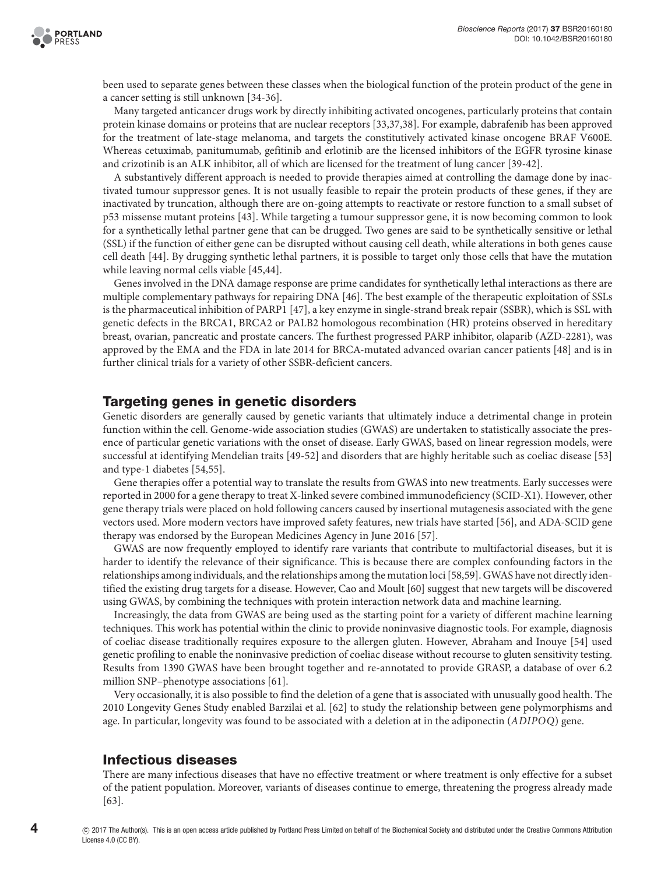been used to separate genes between these classes when the biological function of the protein product of the gene in a cancer setting is still unknown [\[34-36\]](#page-10-16).

Many targeted anticancer drugs work by directly inhibiting activated oncogenes, particularly proteins that contain protein kinase domains or proteins that are nuclear receptors [\[33,](#page-10-15)[37](#page-10-17)[,38\]](#page-10-18). For example, dabrafenib has been approved for the treatment of late-stage melanoma, and targets the constitutively activated kinase oncogene BRAF V600E. Whereas cetuximab, panitumumab, gefitinib and erlotinib are the licensed inhibitors of the EGFR tyrosine kinase and crizotinib is an ALK inhibitor, all of which are licensed for the treatment of lung cancer [\[39-42\]](#page-10-19).

A substantively different approach is needed to provide therapies aimed at controlling the damage done by inactivated tumour suppressor genes. It is not usually feasible to repair the protein products of these genes, if they are inactivated by truncation, although there are on-going attempts to reactivate or restore function to a small subset of p53 missense mutant proteins [\[43\]](#page-11-0). While targeting a tumour suppressor gene, it is now becoming common to look for a synthetically lethal partner gene that can be drugged. Two genes are said to be synthetically sensitive or lethal (SSL) if the function of either gene can be disrupted without causing cell death, while alterations in both genes cause cell death [\[44\]](#page-11-1). By drugging synthetic lethal partners, it is possible to target only those cells that have the mutation while leaving normal cells viable [\[45,](#page-11-2)[44\]](#page-11-1).

Genes involved in the DNA damage response are prime candidates for synthetically lethal interactions as there are multiple complementary pathways for repairing DNA [\[46\]](#page-11-3). The best example of the therapeutic exploitation of SSLs is the pharmaceutical inhibition of PARP1 [\[47\]](#page-11-4), a key enzyme in single-strand break repair (SSBR), which is SSL with genetic defects in the BRCA1, BRCA2 or PALB2 homologous recombination (HR) proteins observed in hereditary breast, ovarian, pancreatic and prostate cancers. The furthest progressed PARP inhibitor, olaparib (AZD-2281), was approved by the EMA and the FDA in late 2014 for BRCA-mutated advanced ovarian cancer patients [\[48\]](#page-11-5) and is in further clinical trials for a variety of other SSBR-deficient cancers.

## Targeting genes in genetic disorders

Genetic disorders are generally caused by genetic variants that ultimately induce a detrimental change in protein function within the cell. Genome-wide association studies (GWAS) are undertaken to statistically associate the presence of particular genetic variations with the onset of disease. Early GWAS, based on linear regression models, were successful at identifying Mendelian traits [\[49-52\]](#page-11-6) and disorders that are highly heritable such as coeliac disease [\[53\]](#page-11-7) and type-1 diabetes [\[54](#page-11-8)[,55\]](#page-11-9).

Gene therapies offer a potential way to translate the results from GWAS into new treatments. Early successes were reported in 2000 for a gene therapy to treat X-linked severe combined immunodeficiency (SCID-X1). However, other gene therapy trials were placed on hold following cancers caused by insertional mutagenesis associated with the gene vectors used. More modern vectors have improved safety features, new trials have started [\[56\]](#page-11-10), and ADA-SCID gene therapy was endorsed by the European Medicines Agency in June 2016 [\[57\]](#page-11-11).

GWAS are now frequently employed to identify rare variants that contribute to multifactorial diseases, but it is harder to identify the relevance of their significance. This is because there are complex confounding factors in the relationships among individuals, and the relationships among the mutation loci [\[58](#page-11-12)[,59\]](#page-11-13). GWAS have not directly identified the existing drug targets for a disease. However, Cao and Moult [\[60\]](#page-11-14) suggest that new targets will be discovered using GWAS, by combining the techniques with protein interaction network data and machine learning.

Increasingly, the data from GWAS are being used as the starting point for a variety of different machine learning techniques. This work has potential within the clinic to provide noninvasive diagnostic tools. For example, diagnosis of coeliac disease traditionally requires exposure to the allergen gluten. However, Abraham and Inouye [\[54\]](#page-11-8) used genetic profiling to enable the noninvasive prediction of coeliac disease without recourse to gluten sensitivity testing. Results from 1390 GWAS have been brought together and re-annotated to provide GRASP, a database of over 6.2 million SNP–phenotype associations [\[61\]](#page-11-15).

Very occasionally, it is also possible to find the deletion of a gene that is associated with unusually good health. The 2010 Longevity Genes Study enabled Barzilai et al. [\[62\]](#page-11-16) to study the relationship between gene polymorphisms and age. In particular, longevity was found to be associated with a deletion at in the adiponectin (ADIPOQ) gene.

## Infectious diseases

There are many infectious diseases that have no effective treatment or where treatment is only effective for a subset of the patient population. Moreover, variants of diseases continue to emerge, threatening the progress already made [\[63\]](#page-11-17).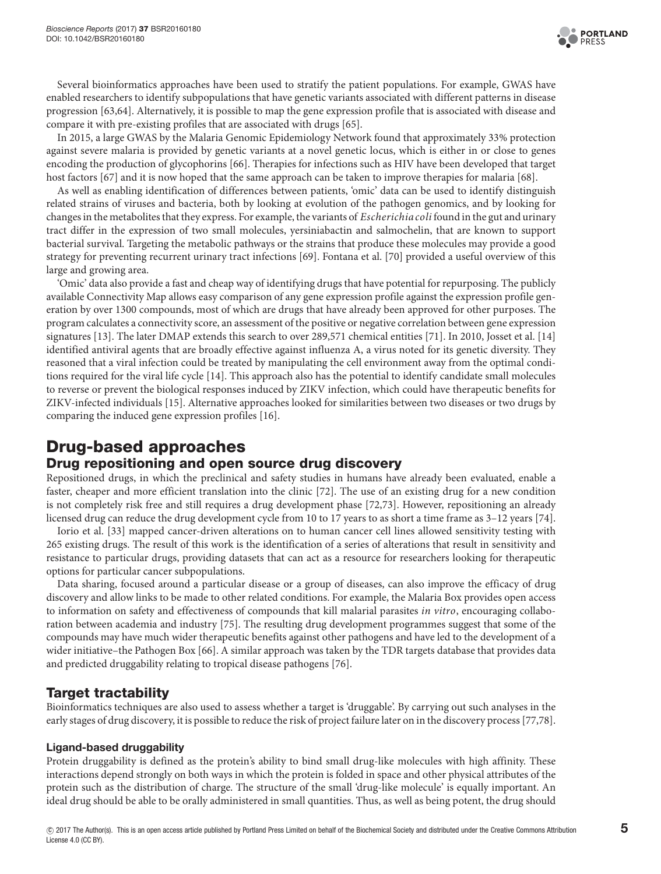

Several bioinformatics approaches have been used to stratify the patient populations. For example, GWAS have enabled researchers to identify subpopulations that have genetic variants associated with different patterns in disease progression [\[63](#page-11-17)[,64\]](#page-11-18). Alternatively, it is possible to map the gene expression profile that is associated with disease and compare it with pre-existing profiles that are associated with drugs [\[65\]](#page-11-19).

In 2015, a large GWAS by the Malaria Genomic Epidemiology Network found that approximately 33% protection against severe malaria is provided by genetic variants at a novel genetic locus, which is either in or close to genes encoding the production of glycophorins [\[66\]](#page-11-20). Therapies for infections such as HIV have been developed that target host factors [\[67\]](#page-11-21) and it is now hoped that the same approach can be taken to improve therapies for malaria [\[68\]](#page-11-22).

As well as enabling identification of differences between patients, 'omic' data can be used to identify distinguish related strains of viruses and bacteria, both by looking at evolution of the pathogen genomics, and by looking for changes in the metabolites that they express. For example, the variants of *Escherichia coli* found in the gut and urinary tract differ in the expression of two small molecules, yersiniabactin and salmochelin, that are known to support bacterial survival. Targeting the metabolic pathways or the strains that produce these molecules may provide a good strategy for preventing recurrent urinary tract infections [\[69\]](#page-11-23). Fontana et al. [\[70\]](#page-11-24) provided a useful overview of this large and growing area.

'Omic' data also provide a fast and cheap way of identifying drugs that have potential for repurposing. The publicly available Connectivity Map allows easy comparison of any gene expression profile against the expression profile generation by over 1300 compounds, most of which are drugs that have already been approved for other purposes. The program calculates a connectivity score, an assessment of the positive or negative correlation between gene expression signatures [\[13\]](#page-10-20). The later DMAP extends this search to over 289,571 chemical entities [\[71\]](#page-11-25). In 2010, Josset et al. [\[14\]](#page-10-21) identified antiviral agents that are broadly effective against influenza A, a virus noted for its genetic diversity. They reasoned that a viral infection could be treated by manipulating the cell environment away from the optimal conditions required for the viral life cycle [\[14\]](#page-10-21). This approach also has the potential to identify candidate small molecules to reverse or prevent the biological responses induced by ZIKV infection, which could have therapeutic benefits for ZIKV-infected individuals [\[15\]](#page-10-22). Alternative approaches looked for similarities between two diseases or two drugs by comparing the induced gene expression profiles [\[16\]](#page-10-23).

## Drug-based approaches

## Drug repositioning and open source drug discovery

Repositioned drugs, in which the preclinical and safety studies in humans have already been evaluated, enable a faster, cheaper and more efficient translation into the clinic [\[72\]](#page-11-26). The use of an existing drug for a new condition is not completely risk free and still requires a drug development phase [\[72,](#page-11-26)[73\]](#page-11-27). However, repositioning an already licensed drug can reduce the drug development cycle from 10 to 17 years to as short a time frame as 3–12 years [\[74\]](#page-11-28).

Iorio et al. [\[33\]](#page-10-15) mapped cancer-driven alterations on to human cancer cell lines allowed sensitivity testing with 265 existing drugs. The result of this work is the identification of a series of alterations that result in sensitivity and resistance to particular drugs, providing datasets that can act as a resource for researchers looking for therapeutic options for particular cancer subpopulations.

Data sharing, focused around a particular disease or a group of diseases, can also improve the efficacy of drug discovery and allow links to be made to other related conditions. For example, the Malaria Box provides open access to information on safety and effectiveness of compounds that kill malarial parasites in vitro, encouraging collaboration between academia and industry [\[75\]](#page-11-29). The resulting drug development programmes suggest that some of the compounds may have much wider therapeutic benefits against other pathogens and have led to the development of a wider initiative–the Pathogen Box [\[66\]](#page-11-20). A similar approach was taken by the TDR targets database that provides data and predicted druggability relating to tropical disease pathogens [\[76\]](#page-12-0).

## Target tractability

Bioinformatics techniques are also used to assess whether a target is 'druggable'. By carrying out such analyses in the early stages of drug discovery, it is possible to reduce the risk of project failure later on in the discovery process [\[77,](#page-12-1)[78\]](#page-12-2).

## Ligand-based druggability

Protein druggability is defined as the protein's ability to bind small drug-like molecules with high affinity. These interactions depend strongly on both ways in which the protein is folded in space and other physical attributes of the protein such as the distribution of charge. The structure of the small 'drug-like molecule' is equally important. An ideal drug should be able to be orally administered in small quantities. Thus, as well as being potent, the drug should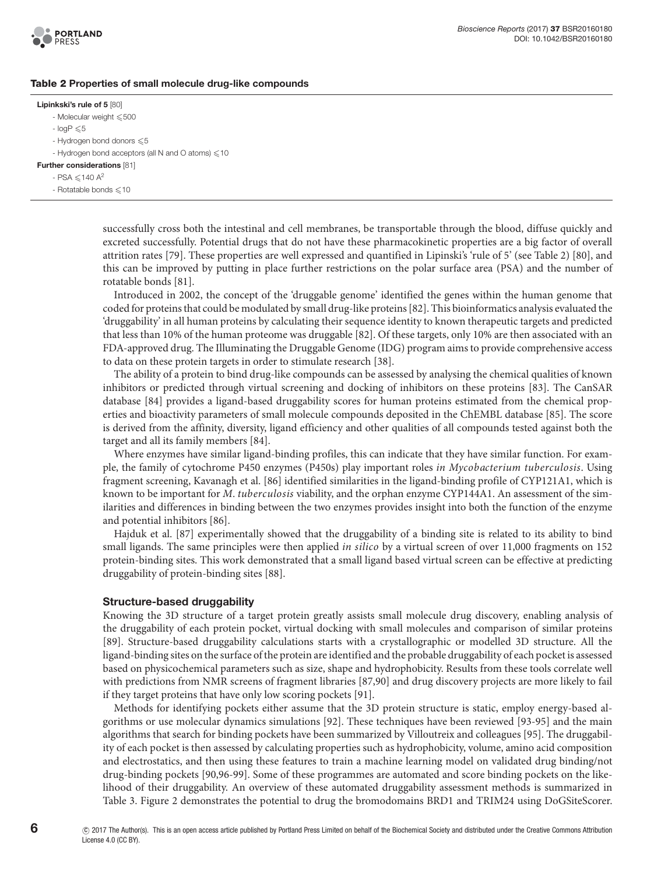

#### Table 2 Properties of small molecule drug-like compounds

#### Lipinkski's rule of 5 [\[80\]](#page-12-3)

- <span id="page-6-0"></span>- Molecular weight  $\leqslant$  500
- $-$  logP  $\leq 5$
- Hydrogen bond donors  $\leqslant 5$
- Hydrogen bond acceptors (all N and O atoms)  $\leqslant$  10
- Further considerations [\[81\]](#page-12-4)

 $-$  PSA  $\leq$  140 A<sup>2</sup>

 $-$  Rotatable bonds  $\leq 10$ 

successfully cross both the intestinal and cell membranes, be transportable through the blood, diffuse quickly and excreted successfully. Potential drugs that do not have these pharmacokinetic properties are a big factor of overall attrition rates [\[79\]](#page-12-5). These properties are well expressed and quantified in Lipinski's 'rule of 5' (see [Table 2\)](#page-6-0) [\[80\]](#page-12-3), and this can be improved by putting in place further restrictions on the polar surface area (PSA) and the number of rotatable bonds [\[81\]](#page-12-4).

Introduced in 2002, the concept of the 'druggable genome' identified the genes within the human genome that coded for proteins that could be modulated by small drug-like proteins [\[82\]](#page-12-6). This bioinformatics analysis evaluated the 'druggability' in all human proteins by calculating their sequence identity to known therapeutic targets and predicted that less than 10% of the human proteome was druggable [\[82\]](#page-12-6). Of these targets, only 10% are then associated with an FDA-approved drug. The Illuminating the Druggable Genome (IDG) program aims to provide comprehensive access to data on these protein targets in order to stimulate research [\[38\]](#page-10-18).

The ability of a protein to bind drug-like compounds can be assessed by analysing the chemical qualities of known inhibitors or predicted through virtual screening and docking of inhibitors on these proteins [\[83\]](#page-12-7). The CanSAR database [\[84\]](#page-12-8) provides a ligand-based druggability scores for human proteins estimated from the chemical properties and bioactivity parameters of small molecule compounds deposited in the ChEMBL database [\[85\]](#page-12-9). The score is derived from the affinity, diversity, ligand efficiency and other qualities of all compounds tested against both the target and all its family members [\[84\]](#page-12-8).

Where enzymes have similar ligand-binding profiles, this can indicate that they have similar function. For example, the family of cytochrome P450 enzymes (P450s) play important roles in Mycobacterium tuberculosis. Using fragment screening, Kavanagh et al. [\[86\]](#page-12-10) identified similarities in the ligand-binding profile of CYP121A1, which is known to be important for M. tuberculosis viability, and the orphan enzyme CYP144A1. An assessment of the similarities and differences in binding between the two enzymes provides insight into both the function of the enzyme and potential inhibitors [\[86\]](#page-12-10).

Hajduk et al. [\[87\]](#page-12-11) experimentally showed that the druggability of a binding site is related to its ability to bind small ligands. The same principles were then applied *in silico* by a virtual screen of over 11,000 fragments on 152 protein-binding sites. This work demonstrated that a small ligand based virtual screen can be effective at predicting druggability of protein-binding sites [\[88\]](#page-12-12).

#### Structure-based druggability

Knowing the 3D structure of a target protein greatly assists small molecule drug discovery, enabling analysis of the druggability of each protein pocket, virtual docking with small molecules and comparison of similar proteins [\[89\]](#page-12-13). Structure-based druggability calculations starts with a crystallographic or modelled 3D structure. All the ligand-binding sites on the surface of the protein are identified and the probable druggability of each pocket is assessed based on physicochemical parameters such as size, shape and hydrophobicity. Results from these tools correlate well with predictions from NMR screens of fragment libraries [\[87](#page-12-11)[,90\]](#page-12-14) and drug discovery projects are more likely to fail if they target proteins that have only low scoring pockets [\[91\]](#page-12-15).

Methods for identifying pockets either assume that the 3D protein structure is static, employ energy-based algorithms or use molecular dynamics simulations [\[92\]](#page-12-16). These techniques have been reviewed [\[93-95\]](#page-12-17) and the main algorithms that search for binding pockets have been summarized by Villoutreix and colleagues [\[95\]](#page-12-18). The druggability of each pocket is then assessed by calculating properties such as hydrophobicity, volume, amino acid composition and electrostatics, and then using these features to train a machine learning model on validated drug binding/not drug-binding pockets [\[90,](#page-12-14)[96-99\]](#page-12-19). Some of these programmes are automated and score binding pockets on the likelihood of their druggability. An overview of these automated druggability assessment methods is summarized in [Table 3.](#page-7-0) [Figure 2](#page-7-1) demonstrates the potential to drug the bromodomains BRD1 and TRIM24 using DoGSiteScorer.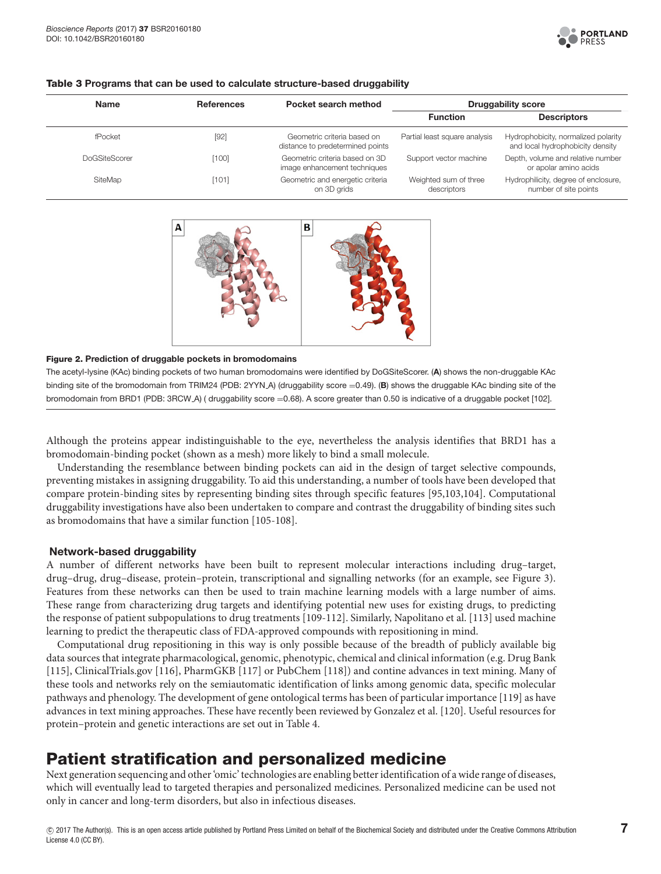

| <b>Name</b>          | <b>References</b> | Pocket search method                                            | <b>Druggability score</b>            |                                                                         |
|----------------------|-------------------|-----------------------------------------------------------------|--------------------------------------|-------------------------------------------------------------------------|
|                      |                   |                                                                 | <b>Function</b>                      | <b>Descriptors</b>                                                      |
| fPocket              | [92]              | Geometric criteria based on<br>distance to predetermined points | Partial least square analysis        | Hydrophobicity, normalized polarity<br>and local hydrophobicity density |
| <b>DoGSiteScorer</b> | [100]             | Geometric criteria based on 3D<br>image enhancement techniques  | Support vector machine               | Depth, volume and relative number<br>or apolar amino acids              |
| SiteMap              | [101]             | Geometric and energetic criteria<br>on 3D grids                 | Weighted sum of three<br>descriptors | Hydrophilicity, degree of enclosure,<br>number of site points           |

#### <span id="page-7-0"></span>Table 3 Programs that can be used to calculate structure-based druggability



#### <span id="page-7-1"></span>Figure 2. Prediction of druggable pockets in bromodomains

The acetyl-lysine (KAc) binding pockets of two human bromodomains were identifed by DoGSiteScorer. (A) shows the non-druggable KAc binding site of the bromodomain from TRIM24 (PDB: 2YYN A) (druggability score =0.49). (B) shows the druggable KAc binding site of the bromodomain from BRD1 (PDB: 3RCW A) (druggability score =0.68). A score greater than 0.50 is indicative of a druggable pocket [\[102\]](#page-12-22).

Although the proteins appear indistinguishable to the eye, nevertheless the analysis identifies that BRD1 has a bromodomain-binding pocket (shown as a mesh) more likely to bind a small molecule.

Understanding the resemblance between binding pockets can aid in the design of target selective compounds, preventing mistakes in assigning druggability. To aid this understanding, a number of tools have been developed that compare protein-binding sites by representing binding sites through specific features [\[95,](#page-12-18)[103,](#page-12-23)[104\]](#page-12-24). Computational druggability investigations have also been undertaken to compare and contrast the druggability of binding sites such as bromodomains that have a similar function [\[105-108\]](#page-12-25).

### Network-based druggability

A number of different networks have been built to represent molecular interactions including drug–target, drug–drug, drug–disease, protein–protein, transcriptional and signalling networks (for an example, see [Figure 3\)](#page-8-0). Features from these networks can then be used to train machine learning models with a large number of aims. These range from characterizing drug targets and identifying potential new uses for existing drugs, to predicting the response of patient subpopulations to drug treatments [\[109-112\]](#page-13-0). Similarly, Napolitano et al. [\[113\]](#page-13-1) used machine learning to predict the therapeutic class of FDA-approved compounds with repositioning in mind.

Computational drug repositioning in this way is only possible because of the breadth of publicly available big data sources that integrate pharmacological, genomic, phenotypic, chemical and clinical information (e.g. Drug Bank [\[115\]](#page-13-2), ClinicalTrials.gov [\[116\]](#page-13-3), PharmGKB [\[117\]](#page-13-4) or PubChem [\[118\]](#page-13-5)) and contine advances in text mining. Many of these tools and networks rely on the semiautomatic identification of links among genomic data, specific molecular pathways and phenology. The development of gene ontological terms has been of particular importance [\[119\]](#page-13-6) as have advances in text mining approaches. These have recently been reviewed by Gonzalez et al. [\[120\]](#page-13-7). Useful resources for protein–protein and genetic interactions are set out in [Table](#page-8-1) 4.

## Patient stratification and personalized medicine

Next generation sequencing and other'omic' technologies are enabling better identification of a wide range of diseases, which will eventually lead to targeted therapies and personalized medicines. Personalized medicine can be used not only in cancer and long-term disorders, but also in infectious diseases.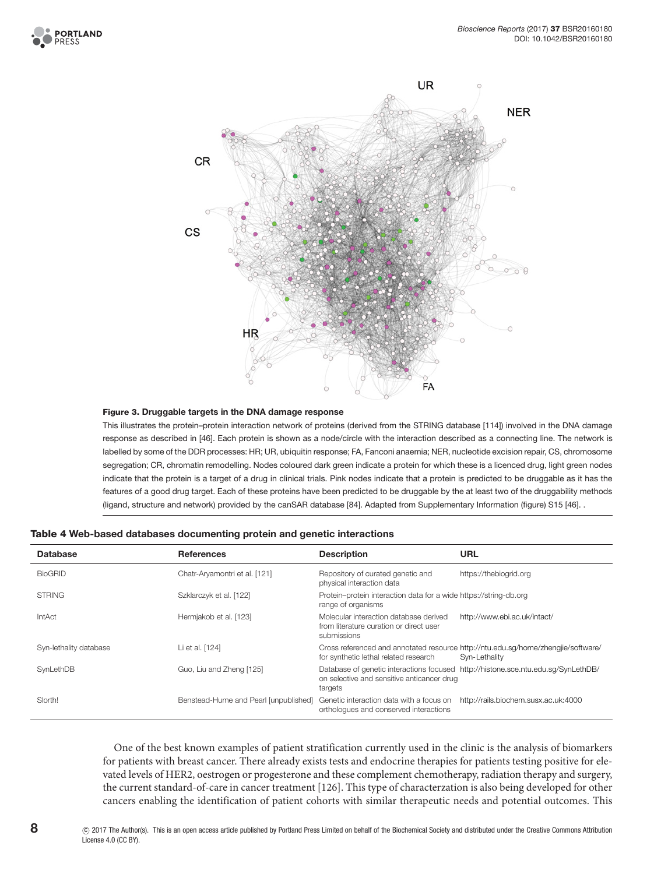



#### <span id="page-8-0"></span>Figure 3. Druggable targets in the DNA damage response

This illustrates the protein–protein interaction network of proteins (derived from the STRING database [\[114\]](#page-13-8)) involved in the DNA damage response as described in [\[46\]](#page-11-3). Each protein is shown as a node/circle with the interaction described as a connecting line. The network is labelled by some of the DDR processes: HR; UR, ubiquitin response; FA, Fanconi anaemia; NER, nucleotide excision repair, CS, chromosome segregation; CR, chromatin remodelling. Nodes coloured dark green indicate a protein for which these is a licenced drug, light green nodes indicate that the protein is a target of a drug in clinical trials. Pink nodes indicate that a protein is predicted to be druggable as it has the features of a good drug target. Each of these proteins have been predicted to be druggable by the at least two of the druggability methods (ligand, structure and network) provided by the canSAR database [\[84\]](#page-12-8). Adapted from Supplementary Information (fgure) S15 [\[46\]](#page-11-3). .

| <b>Database</b>        | <b>References</b>                     | <b>Description</b>                                                                               | <b>URL</b>                                                                                         |
|------------------------|---------------------------------------|--------------------------------------------------------------------------------------------------|----------------------------------------------------------------------------------------------------|
| <b>BioGRID</b>         | Chatr-Aryamontri et al. [121]         | Repository of curated genetic and<br>physical interaction data                                   | https://thebiogrid.org                                                                             |
| <b>STRING</b>          | Szklarczyk et al. [122]               | Protein-protein interaction data for a wide https://string-db.org<br>range of organisms          |                                                                                                    |
| <b>IntAct</b>          | Hermiakob et al. [123]                | Molecular interaction database derived<br>from literature curation or direct user<br>submissions | http://www.ebi.ac.uk/intact/                                                                       |
| Syn-lethality database | Li et al. [124]                       | for synthetic lethal related research                                                            | Cross referenced and annotated resource http://ntu.edu.sq/home/zhengjie/software/<br>Syn-Lethality |
| SynLethDB              | Guo, Liu and Zheng [125]              | on selective and sensitive anticancer drug<br>targets                                            | Database of genetic interactions focused http://histone.sce.ntu.edu.sq/SynLethDB/                  |
| Slorth!                | Benstead-Hume and Pearl [unpublished] | Genetic interaction data with a focus on<br>orthologues and conserved interactions               | http://rails.biochem.susx.ac.uk:4000                                                               |

<span id="page-8-1"></span>

One of the best known examples of patient stratification currently used in the clinic is the analysis of biomarkers for patients with breast cancer. There already exists tests and endocrine therapies for patients testing positive for elevated levels of HER2, oestrogen or progesterone and these complement chemotherapy, radiation therapy and surgery, the current standard-of-care in cancer treatment [\[126\]](#page-13-14). This type of characterzation is also being developed for other cancers enabling the identification of patient cohorts with similar therapeutic needs and potential outcomes. This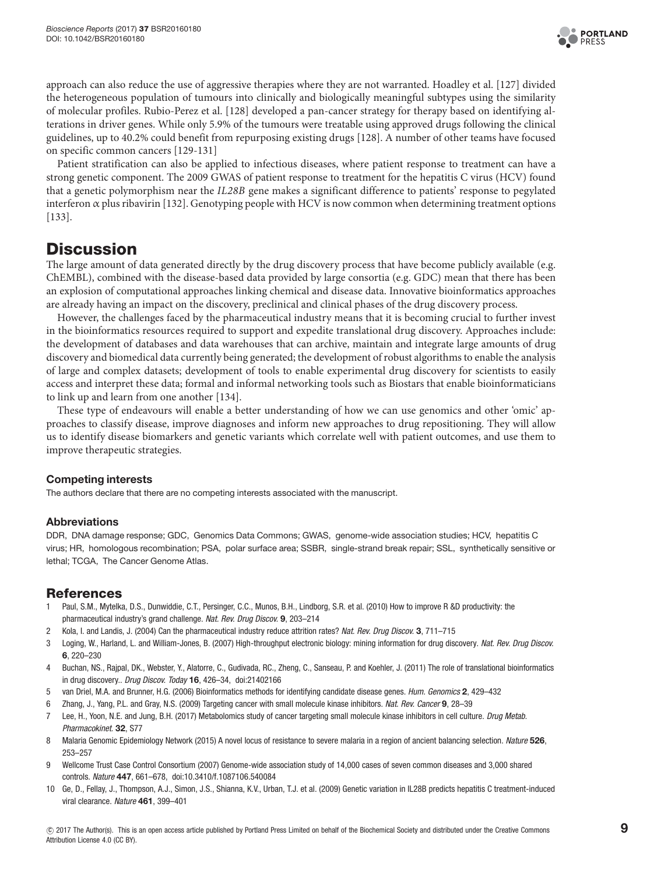

approach can also reduce the use of aggressive therapies where they are not warranted. Hoadley et al. [\[127\]](#page-13-15) divided the heterogeneous population of tumours into clinically and biologically meaningful subtypes using the similarity of molecular profiles. Rubio-Perez et al. [\[128\]](#page-13-16) developed a pan-cancer strategy for therapy based on identifying alterations in driver genes. While only 5.9% of the tumours were treatable using approved drugs following the clinical guidelines, up to 40.2% could benefit from repurposing existing drugs [\[128\]](#page-13-16). A number of other teams have focused on specific common cancers [\[129-131\]](#page-13-17)

Patient stratification can also be applied to infectious diseases, where patient response to treatment can have a strong genetic component. The 2009 GWAS of patient response to treatment for the hepatitis C virus (HCV) found that a genetic polymorphism near the IL28B gene makes a significant difference to patients' response to pegylated interferon  $\alpha$  plus ribavirin [\[132\]](#page-13-18). Genotyping people with HCV is now common when determining treatment options [\[133\]](#page-13-19).

## **Discussion**

The large amount of data generated directly by the drug discovery process that have become publicly available (e.g. ChEMBL), combined with the disease-based data provided by large consortia (e.g. GDC) mean that there has been an explosion of computational approaches linking chemical and disease data. Innovative bioinformatics approaches are already having an impact on the discovery, preclinical and clinical phases of the drug discovery process.

However, the challenges faced by the pharmaceutical industry means that it is becoming crucial to further invest in the bioinformatics resources required to support and expedite translational drug discovery. Approaches include: the development of databases and data warehouses that can archive, maintain and integrate large amounts of drug discovery and biomedical data currently being generated; the development of robust algorithms to enable the analysis of large and complex datasets; development of tools to enable experimental drug discovery for scientists to easily access and interpret these data; formal and informal networking tools such as Biostars that enable bioinformaticians to link up and learn from one another [\[134\]](#page-13-20).

These type of endeavours will enable a better understanding of how we can use genomics and other 'omic' approaches to classify disease, improve diagnoses and inform new approaches to drug repositioning. They will allow us to identify disease biomarkers and genetic variants which correlate well with patient outcomes, and use them to improve therapeutic strategies.

## Competing interests

The authors declare that there are no competing interests associated with the manuscript.

## Abbreviations

DDR, DNA damage response; GDC, Genomics Data Commons; GWAS, genome-wide association studies; HCV, hepatitis C virus; HR, homologous recombination; PSA, polar surface area; SSBR, single-strand break repair; SSL, synthetically sensitive or lethal; TCGA, The Cancer Genome Atlas.

## References

- <span id="page-9-0"></span>1 Paul, S.M., Mytelka, D.S., Dunwiddie, C.T., Persinger, C.C., Munos, B.H., Lindborg, S.R. et al. (2010) How to improve R &D productivity: the pharmaceutical industry's grand challenge. Nat. Rev. Drug Discov. 9, 203–214
- <span id="page-9-1"></span>2 Kola, I. and Landis, J. (2004) Can the pharmaceutical industry reduce attrition rates? Nat. Rev. Drug Discov. 3, 711–715
- <span id="page-9-2"></span>3 Loging, W., Harland, L. and William-Jones, B. (2007) High-throughput electronic biology: mining information for drug discovery. Nat. Rev. Drug Discov. 6, 220–230
- <span id="page-9-4"></span>4 Buchan, NS., Rajpal, DK., Webster, Y., Alatorre, C., Gudivada, RC., Zheng, C., Sanseau, P. and Koehler, J. (2011) The role of translational bioinformatics in drug discovery.. Drug Discov. Today 16, 426–34, doi:21402166
- <span id="page-9-3"></span>5 van Driel, M.A. and Brunner, H.G. (2006) Bioinformatics methods for identifying candidate disease genes. Hum. Genomics 2, 429–432
- <span id="page-9-5"></span>6 Zhang, J., Yang, P.L. and Gray, N.S. (2009) Targeting cancer with small molecule kinase inhibitors. Nat. Rev. Cancer 9, 28–39
- <span id="page-9-6"></span>7 Lee, H., Yoon, N.E. and Jung, B.H. (2017) Metabolomics study of cancer targeting small molecule kinase inhibitors in cell culture. Drug Metab. Pharmacokinet. 32, S77
- <span id="page-9-7"></span>8 Malaria Genomic Epidemiology Network (2015) A novel locus of resistance to severe malaria in a region of ancient balancing selection. Nature 526, 253–257
- 9 Wellcome Trust Case Control Consortium (2007) Genome-wide association study of 14,000 cases of seven common diseases and 3,000 shared controls. Nature 447, 661–678, doi:10.3410/f.1087106.540084
- 10 Ge, D., Fellay, J., Thompson, A.J., Simon, J.S., Shianna, K.V., Urban, T.J. et al. (2009) Genetic variation in IL28B predicts hepatitis C treatment-induced viral clearance. Nature 461, 399–401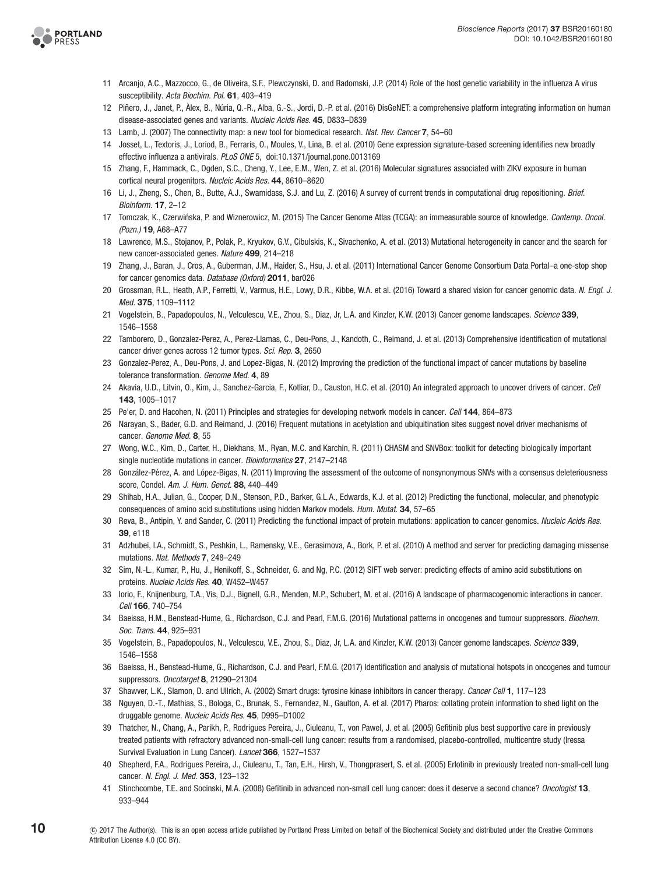

- 11 Arcanjo, A.C., Mazzocco, G., de Oliveira, S.F., Plewczynski, D. and Radomski, J.P. (2014) Role of the host genetic variability in the influenza A virus susceptibility. Acta Biochim. Pol. 61, 403-419
- <span id="page-10-0"></span>12 Piñero, J., Janet, P., Àlex, B., Núria, Q.-R., Alba, G.-S., Jordi, D.-P. et al. (2016) DisGeNET: a comprehensive platform integrating information on human disease-associated genes and variants. Nucleic Acids Res. 45, D833–D839
- <span id="page-10-20"></span>13 Lamb, J. (2007) The connectivity map: a new tool for biomedical research. Nat. Rev. Cancer 7, 54–60
- <span id="page-10-21"></span>14 Josset, L., Textoris, J., Loriod, B., Ferraris, O., Moules, V., Lina, B. et al. (2010) Gene expression signature-based screening identifies new broadly effective influenza a antivirals. PLoS ONE 5, doi:10.1371/journal.pone.0013169
- <span id="page-10-22"></span>15 Zhang, F., Hammack, C., Ogden, S.C., Cheng, Y., Lee, E.M., Wen, Z. et al. (2016) Molecular signatures associated with ZIKV exposure in human cortical neural progenitors. Nucleic Acids Res. 44, 8610–8620
- <span id="page-10-23"></span>16 Li, J., Zheng, S., Chen, B., Butte, A.J., Swamidass, S.J. and Lu, Z. (2016) A survey of current trends in computational drug repositioning. Brief. Bioinform. 17, 2–12
- <span id="page-10-1"></span>17 Tomczak, K., Czerwińska, P. and Wiznerowicz, M. (2015) The Cancer Genome Atlas (TCGA): an immeasurable source of knowledge. Contemp. Oncol. (Pozn.) 19, A68–A77
- <span id="page-10-9"></span>18 Lawrence, M.S., Stojanov, P., Polak, P., Kryukov, G.V., Cibulskis, K., Sivachenko, A. et al. (2013) Mutational heterogeneity in cancer and the search for new cancer-associated genes. Nature 499, 214–218
- <span id="page-10-10"></span>19 Zhang, J., Baran, J., Cros, A., Guberman, J.M., Haider, S., Hsu, J. et al. (2011) International Cancer Genome Consortium Data Portal–a one-stop shop for cancer genomics data. Database (Oxford) 2011, bar026
- <span id="page-10-11"></span>20 Grossman, R.L., Heath, A.P., Ferretti, V., Varmus, H.E., Lowy, D.R., Kibbe, W.A. et al. (2016) Toward a shared vision for cancer genomic data. N. Engl. J. Med. 375, 1109–1112
- <span id="page-10-12"></span>21 Vogelstein, B., Papadopoulos, N., Velculescu, V.E., Zhou, S., Diaz, Jr, L.A. and Kinzler, K.W. (2013) Cancer genome landscapes. Science 339, 1546–1558
- <span id="page-10-13"></span>22 Tamborero, D., Gonzalez-Perez, A., Perez-Llamas, C., Deu-Pons, J., Kandoth, C., Reimand, J. et al. (2013) Comprehensive identification of mutational cancer driver genes across 12 tumor types. Sci. Rep. 3, 2650
- <span id="page-10-8"></span>23 Gonzalez-Perez, A., Deu-Pons, J. and Lopez-Bigas, N. (2012) Improving the prediction of the functional impact of cancer mutations by baseline tolerance transformation. Genome Med. 4, 89
- <span id="page-10-14"></span>24 Akavia, U.D., Litvin, O., Kim, J., Sanchez-Garcia, F., Kotliar, D., Causton, H.C. et al. (2010) An integrated approach to uncover drivers of cancer. Cell 143, 1005–1017
- 25 Pe'er, D. and Hacohen, N. (2011) Principles and strategies for developing network models in cancer. Cell 144, 864–873
- 26 Narayan, S., Bader, G.D. and Reimand, J. (2016) Frequent mutations in acetylation and ubiquitination sites suggest novel driver mechanisms of cancer. Genome Med. 8, 55
- <span id="page-10-2"></span>27 Wong, W.C., Kim, D., Carter, H., Diekhans, M., Ryan, M.C. and Karchin, R. (2011) CHASM and SNVBox: toolkit for detecting biologically important single nucleotide mutations in cancer. Bioinformatics 27, 2147-2148
- <span id="page-10-3"></span>28 González-Pérez, A. and López-Bigas, N. (2011) Improving the assessment of the outcome of nonsynonymous SNVs with a consensus deleteriousness score, Condel. Am. J. Hum. Genet. 88, 440-449
- <span id="page-10-4"></span>29 Shihab, H.A., Julian, G., Cooper, D.N., Stenson, P.D., Barker, G.L.A., Edwards, K.J. et al. (2012) Predicting the functional, molecular, and phenotypic consequences of amino acid substitutions using hidden Markov models. Hum. Mutat. 34, 57–65
- <span id="page-10-5"></span>30 Reva, B., Antipin, Y. and Sander, C. (2011) Predicting the functional impact of protein mutations: application to cancer genomics. Nucleic Acids Res. 39, e118
- <span id="page-10-6"></span>31 Adzhubei, I.A., Schmidt, S., Peshkin, L., Ramensky, V.E., Gerasimova, A., Bork, P. et al. (2010) A method and server for predicting damaging missense mutations. Nat. Methods 7, 248–249
- <span id="page-10-7"></span>32 Sim, N.-L., Kumar, P., Hu, J., Henikoff, S., Schneider, G. and Ng, P.C. (2012) SIFT web server: predicting effects of amino acid substitutions on proteins. Nucleic Acids Res. 40, W452–W457
- <span id="page-10-15"></span>33 Iorio, F., Knijnenburg, T.A., Vis, D.J., Bignell, G.R., Menden, M.P., Schubert, M. et al. (2016) A landscape of pharmacogenomic interactions in cancer. Cell 166, 740–754
- <span id="page-10-16"></span>34 Baeissa, H.M., Benstead-Hume, G., Richardson, C.J. and Pearl, F.M.G. (2016) Mutational patterns in oncogenes and tumour suppressors. Biochem. Soc. Trans. 44, 925–931
- 35 Vogelstein, B., Papadopoulos, N., Velculescu, V.E., Zhou, S., Diaz, Jr, L.A. and Kinzler, K.W. (2013) Cancer genome landscapes. Science 339, 1546–1558
- 36 Baeissa, H., Benstead-Hume, G., Richardson, C.J. and Pearl, F.M.G. (2017) Identification and analysis of mutational hotspots in oncogenes and tumour suppressors. Oncotarget 8, 21290-21304
- <span id="page-10-17"></span>37 Shawver, L.K., Slamon, D. and Ullrich, A. (2002) Smart drugs: tyrosine kinase inhibitors in cancer therapy. Cancer Cell 1, 117-123
- <span id="page-10-18"></span>38 Nguyen, D.-T., Mathias, S., Bologa, C., Brunak, S., Fernandez, N., Gaulton, A. et al. (2017) Pharos: collating protein information to shed light on the druggable genome. Nucleic Acids Res. 45, D995-D1002
- <span id="page-10-19"></span>39 Thatcher, N., Chang, A., Parikh, P., Rodrigues Pereira, J., Ciuleanu, T., von Pawel, J. et al. (2005) Gefitinib plus best supportive care in previously treated patients with refractory advanced non-small-cell lung cancer: results from a randomised, placebo-controlled, multicentre study (Iressa Survival Evaluation in Lung Cancer). Lancet 366, 1527-1537
- 40 Shepherd, F.A., Rodrigues Pereira, J., Ciuleanu, T., Tan, E.H., Hirsh, V., Thongprasert, S. et al. (2005) Erlotinib in previously treated non-small-cell lung cancer. N. Engl. J. Med. 353, 123–132
- 41 Stinchcombe, T.E. and Socinski, M.A. (2008) Gefitinib in advanced non-small cell lung cancer: does it deserve a second chance? Oncologist 13, 933–944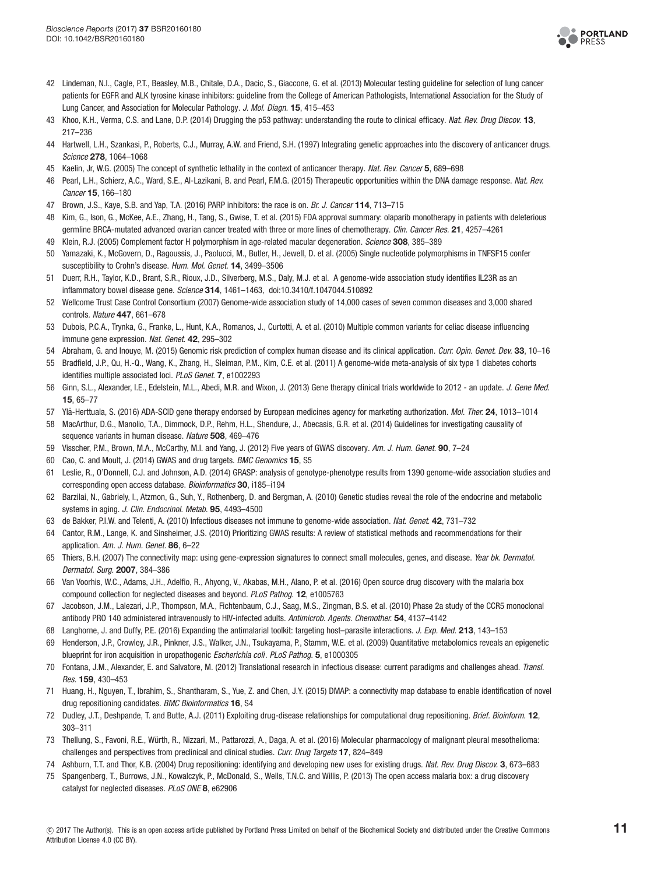

- 42 Lindeman, N.I., Cagle, P.T., Beasley, M.B., Chitale, D.A., Dacic, S., Giaccone, G. et al. (2013) Molecular testing guideline for selection of lung cancer patients for EGFR and ALK tyrosine kinase inhibitors: guideline from the College of American Pathologists, International Association for the Study of Lung Cancer, and Association for Molecular Pathology. J. Mol. Diagn. 15, 415–453
- <span id="page-11-0"></span>43 Khoo, K.H., Verma, C.S. and Lane, D.P. (2014) Drugging the p53 pathway: understanding the route to clinical efficacy. Nat. Rev. Drug Discov. 13, 217–236
- <span id="page-11-1"></span>44 Hartwell, L.H., Szankasi, P., Roberts, C.J., Murray, A.W. and Friend, S.H. (1997) Integrating genetic approaches into the discovery of anticancer drugs. Science 278, 1064–1068
- <span id="page-11-2"></span>45 Kaelin, Jr, W.G. (2005) The concept of synthetic lethality in the context of anticancer therapy. Nat. Rev. Cancer 5, 689-698
- <span id="page-11-3"></span>46 Pearl, L.H., Schierz, A.C., Ward, S.E., Al-Lazikani, B. and Pearl, F.M.G. (2015) Therapeutic opportunities within the DNA damage response. Nat. Rev. Cancer 15, 166–180
- <span id="page-11-4"></span>47 Brown, J.S., Kaye, S.B. and Yap, T.A. (2016) PARP inhibitors: the race is on. Br. J. Cancer 114, 713-715
- <span id="page-11-5"></span>48 Kim, G., Ison, G., McKee, A.E., Zhang, H., Tang, S., Gwise, T. et al. (2015) FDA approval summary: olaparib monotherapy in patients with deleterious germline BRCA-mutated advanced ovarian cancer treated with three or more lines of chemotherapy. Clin. Cancer Res. 21, 4257-4261
- <span id="page-11-6"></span>49 Klein, R.J. (2005) Complement factor H polymorphism in age-related macular degeneration. Science 308, 385-389
- 50 Yamazaki, K., McGovern, D., Ragoussis, J., Paolucci, M., Butler, H., Jewell, D. et al. (2005) Single nucleotide polymorphisms in TNFSF15 confer susceptibility to Crohn's disease. Hum. Mol. Genet. 14, 3499–3506
- 51 Duerr, R.H., Taylor, K.D., Brant, S.R., Rioux, J.D., Silverberg, M.S., Daly, M.J. et al. A genome-wide association study identifies IL23R as an inflammatory bowel disease gene. Science 314, 1461-1463, doi:10.3410/f.1047044.510892
- 52 Wellcome Trust Case Control Consortium (2007) Genome-wide association study of 14,000 cases of seven common diseases and 3,000 shared controls. Nature 447, 661–678
- <span id="page-11-7"></span>53 Dubois, P.C.A., Trynka, G., Franke, L., Hunt, K.A., Romanos, J., Curtotti, A. et al. (2010) Multiple common variants for celiac disease influencing immune gene expression. Nat. Genet. 42, 295-302
- <span id="page-11-8"></span>54 Abraham, G. and Inouye, M. (2015) Genomic risk prediction of complex human disease and its clinical application. Curr. Opin. Genet. Dev. 33, 10-16
- <span id="page-11-9"></span>55 Bradfield, J.P., Qu, H.-Q., Wang, K., Zhang, H., Sleiman, P.M., Kim, C.E. et al. (2011) A genome-wide meta-analysis of six type 1 diabetes cohorts identifies multiple associated loci. PLoS Genet. 7, e1002293
- <span id="page-11-10"></span>56 Ginn, S.L., Alexander, I.E., Edelstein, M.L., Abedi, M.R. and Wixon, J. (2013) Gene therapy clinical trials worldwide to 2012 - an update. J. Gene Med. 15, 65–77
- <span id="page-11-11"></span>57 Ylä-Herttuala, S. (2016) ADA-SCID gene therapy endorsed by European medicines agency for marketing authorization. Mol. Ther. 24, 1013–1014
- <span id="page-11-12"></span>58 MacArthur, D.G., Manolio, T.A., Dimmock, D.P., Rehm, H.L., Shendure, J., Abecasis, G.R. et al. (2014) Guidelines for investigating causality of sequence variants in human disease. Nature 508, 469–476
- <span id="page-11-13"></span>59 Visscher, P.M., Brown, M.A., McCarthy, M.I. and Yang, J. (2012) Five years of GWAS discovery. Am. J. Hum. Genet. 90, 7–24
- <span id="page-11-14"></span>60 Cao, C. and Moult, J. (2014) GWAS and drug targets. BMC Genomics 15, S5
- <span id="page-11-15"></span>61 Leslie, R., O'Donnell, C.J. and Johnson, A.D. (2014) GRASP: analysis of genotype-phenotype results from 1390 genome-wide association studies and corresponding open access database. Bioinformatics 30, i185–i194
- <span id="page-11-16"></span>62 Barzilai, N., Gabriely, I., Atzmon, G., Suh, Y., Rothenberg, D. and Bergman, A. (2010) Genetic studies reveal the role of the endocrine and metabolic systems in aging. J. Clin. Endocrinol. Metab. 95, 4493–4500
- <span id="page-11-17"></span>63 de Bakker, P.I.W. and Telenti, A. (2010) Infectious diseases not immune to genome-wide association. Nat. Genet. 42, 731–732
- <span id="page-11-18"></span>64 Cantor, R.M., Lange, K. and Sinsheimer, J.S. (2010) Prioritizing GWAS results: A review of statistical methods and recommendations for their application. Am. J. Hum. Genet. 86, 6–22
- <span id="page-11-19"></span>65 Thiers, B.H. (2007) The connectivity map: using gene-expression signatures to connect small molecules, genes, and disease. Year bk. Dermatol. Dermatol. Surg. 2007, 384–386
- <span id="page-11-20"></span>66 Van Voorhis, W.C., Adams, J.H., Adelfio, R., Ahyong, V., Akabas, M.H., Alano, P. et al. (2016) Open source drug discovery with the malaria box compound collection for neglected diseases and beyond. PLoS Pathog. 12, e1005763
- <span id="page-11-21"></span>67 Jacobson, J.M., Lalezari, J.P., Thompson, M.A., Fichtenbaum, C.J., Saag, M.S., Zingman, B.S. et al. (2010) Phase 2a study of the CCR5 monoclonal antibody PRO 140 administered intravenously to HIV-infected adults. Antimicrob. Agents. Chemother. 54, 4137–4142
- <span id="page-11-22"></span>68 Langhorne, J. and Duffy, P.E. (2016) Expanding the antimalarial toolkit: targeting host–parasite interactions. J. Exp. Med. 213, 143–153
- <span id="page-11-23"></span>69 Henderson, J.P., Crowley, J.R., Pinkner, J.S., Walker, J.N., Tsukayama, P., Stamm, W.E. et al. (2009) Quantitative metabolomics reveals an epigenetic blueprint for iron acquisition in uropathogenic Escherichia coli. PLoS Pathog. 5, e1000305
- <span id="page-11-24"></span>70 Fontana, J.M., Alexander, E. and Salvatore, M. (2012) Translational research in infectious disease: current paradigms and challenges ahead. Transl. Res. 159, 430–453
- <span id="page-11-25"></span>71 Huang, H., Nguyen, T., Ibrahim, S., Shantharam, S., Yue, Z. and Chen, J.Y. (2015) DMAP: a connectivity map database to enable identification of novel drug repositioning candidates. BMC Bioinformatics 16, S4
- <span id="page-11-26"></span>72 Dudley, J.T., Deshpande, T. and Butte, A.J. (2011) Exploiting drug-disease relationships for computational drug repositioning. Brief. Bioinform. 12, 303–311
- <span id="page-11-27"></span>73 Thellung, S., Favoni, R.E., Wurth, R., Nizzari, M., Pattarozzi, A., Daga, A. et al. (2016) Molecular pharmacology of malignant pleural mesothelioma: ¨ challenges and perspectives from preclinical and clinical studies. Curr. Drug Targets 17, 824–849
- <span id="page-11-28"></span>74 Ashburn, T.T. and Thor, K.B. (2004) Drug repositioning: identifying and developing new uses for existing drugs. Nat. Rev. Drug Discov. 3, 673–683
- <span id="page-11-29"></span>75 Spangenberg, T., Burrows, J.N., Kowalczyk, P., McDonald, S., Wells, T.N.C. and Willis, P. (2013) The open access malaria box: a drug discovery catalyst for neglected diseases. PLoS ONE 8, e62906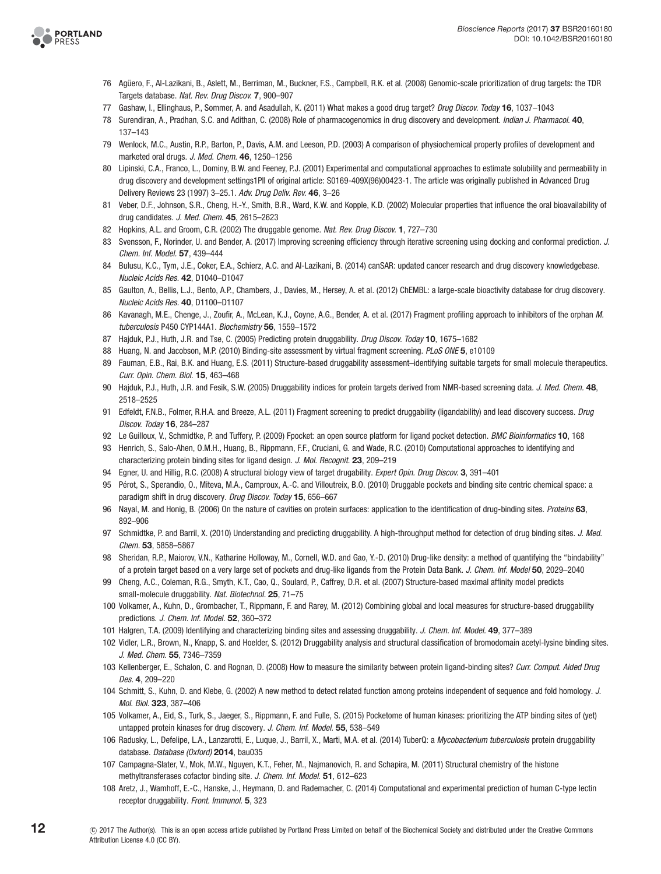

- <span id="page-12-0"></span>76 Agüero, F., Al-Lazikani, B., Aslett, M., Berriman, M., Buckner, F.S., Campbell, R.K. et al. (2008) Genomic-scale prioritization of drug targets: the TDR Targets database. Nat. Rev. Drug Discov. 7, 900–907
- <span id="page-12-1"></span>77 Gashaw, I., Ellinghaus, P., Sommer, A. and Asadullah, K. (2011) What makes a good drug target? Drug Discov. Today 16, 1037–1043
- <span id="page-12-2"></span>78 Surendiran, A., Pradhan, S.C. and Adithan, C. (2008) Role of pharmacogenomics in drug discovery and development. Indian J. Pharmacol. 40, 137–143
- <span id="page-12-5"></span>79 Wenlock, M.C., Austin, R.P., Barton, P., Davis, A.M. and Leeson, P.D. (2003) A comparison of physiochemical property profiles of development and marketed oral drugs. J. Med. Chem. 46, 1250–1256
- <span id="page-12-3"></span>80 Lipinski, C.A., Franco, L., Dominy, B.W. and Feeney, P.J. (2001) Experimental and computational approaches to estimate solubility and permeability in drug discovery and development settings1PII of original article: S0169-409X(96)00423-1. The article was originally published in Advanced Drug Delivery Reviews 23 (1997) 3–25.1. Adv. Drug Deliv. Rev. 46, 3–26
- <span id="page-12-4"></span>81 Veber, D.F., Johnson, S.R., Cheng, H.-Y., Smith, B.R., Ward, K.W. and Kopple, K.D. (2002) Molecular properties that influence the oral bioavailability of drug candidates. J. Med. Chem. 45, 2615-2623
- <span id="page-12-6"></span>82 Hopkins, A.L. and Groom, C.R. (2002) The druggable genome. Nat. Rev. Drug Discov. 1, 727-730
- <span id="page-12-7"></span>83 Svensson, F., Norinder, U. and Bender, A. (2017) Improving screening efficiency through iterative screening using docking and conformal prediction. J. Chem. Inf. Model. 57, 439–444
- <span id="page-12-8"></span>84 Bulusu, K.C., Tym, J.E., Coker, E.A., Schierz, A.C. and Al-Lazikani, B. (2014) canSAR: updated cancer research and drug discovery knowledgebase. Nucleic Acids Res. 42, D1040–D1047
- <span id="page-12-9"></span>85 Gaulton, A., Bellis, L.J., Bento, A.P., Chambers, J., Davies, M., Hersey, A. et al. (2012) ChEMBL: a large-scale bioactivity database for drug discovery. Nucleic Acids Res. 40, D1100–D1107
- <span id="page-12-10"></span>86 Kavanagh, M.E., Chenge, J., Zoufir, A., McLean, K.J., Coyne, A.G., Bender, A. et al. (2017) Fragment profiling approach to inhibitors of the orphan M. tuberculosis P450 CYP144A1. Biochemistry 56, 1559–1572
- <span id="page-12-11"></span>87 Hajduk, P.J., Huth, J.R. and Tse, C. (2005) Predicting protein druggability. Drug Discov. Today 10, 1675-1682
- <span id="page-12-12"></span>88 Huang, N. and Jacobson, M.P. (2010) Binding-site assessment by virtual fragment screening. PLoS ONE 5, e10109
- <span id="page-12-13"></span>89 Fauman, E.B., Rai, B.K. and Huang, E.S. (2011) Structure-based druggability assessment–identifying suitable targets for small molecule therapeutics. Curr. Opin. Chem. Biol. 15, 463–468
- <span id="page-12-14"></span>90 Hajduk, P.J., Huth, J.R. and Fesik, S.W. (2005) Druggability indices for protein targets derived from NMR-based screening data. J. Med. Chem. 48, 2518–2525
- <span id="page-12-15"></span>91 Edfeldt, F.N.B., Folmer, R.H.A. and Breeze, A.L. (2011) Fragment screening to predict druggability (ligandability) and lead discovery success. Drug Discov. Today **16**, 284-287
- <span id="page-12-16"></span>92 Le Guilloux, V., Schmidtke, P. and Tuffery, P. (2009) Fpocket: an open source platform for ligand pocket detection. *BMC Bioinformatics* 10, 168
- <span id="page-12-17"></span>93 Henrich, S., Salo-Ahen, O.M.H., Huang, B., Rippmann, F.F., Cruciani, G. and Wade, R.C. (2010) Computational approaches to identifying and characterizing protein binding sites for ligand design. J. Mol. Recognit. 23, 209-219
- 94 Egner, U. and Hillig, R.C. (2008) A structural biology view of target drugability. Expert Opin. Drug Discov. 3, 391-401
- <span id="page-12-18"></span>95 Pérot, S., Sperandio, O., Miteva, M.A., Camproux, A.-C. and Villoutreix, B.O. (2010) Druggable pockets and binding site centric chemical space: a paradigm shift in drug discovery. Drug Discov. Today 15, 656-667
- <span id="page-12-19"></span>96 Nayal, M. and Honig, B. (2006) On the nature of cavities on protein surfaces: application to the identification of drug-binding sites. Proteins 63, 892–906
- 97 Schmidtke, P. and Barril, X. (2010) Understanding and predicting druggability. A high-throughput method for detection of drug binding sites. J. Med. Chem. 53, 5858–5867
- 98 Sheridan, R.P., Maiorov, V.N., Katharine Holloway, M., Cornell, W.D. and Gao, Y.-D. (2010) Drug-like density: a method of quantifying the "bindability" of a protein target based on a very large set of pockets and drug-like ligands from the Protein Data Bank. J. Chem. Inf. Model 50, 2029-2040
- 99 Cheng, A.C., Coleman, R.G., Smyth, K.T., Cao, Q., Soulard, P., Caffrey, D.R. et al. (2007) Structure-based maximal affinity model predicts small-molecule druggability. Nat. Biotechnol. 25, 71-75
- <span id="page-12-20"></span>100 Volkamer, A., Kuhn, D., Grombacher, T., Rippmann, F. and Rarey, M. (2012) Combining global and local measures for structure-based druggability predictions. J. Chem. Inf. Model. 52, 360–372
- <span id="page-12-21"></span>101 Halgren, T.A. (2009) Identifying and characterizing binding sites and assessing druggability. J. Chem. Inf. Model. 49, 377–389
- <span id="page-12-22"></span>102 Vidler, L.R., Brown, N., Knapp, S. and Hoelder, S. (2012) Druggability analysis and structural classification of bromodomain acetyl-lysine binding sites. J. Med. Chem. 55, 7346–7359
- <span id="page-12-23"></span>103 Kellenberger, E., Schalon, C. and Rognan, D. (2008) How to measure the similarity between protein ligand-binding sites? Curr. Comput. Aided Drug Des. 4, 209–220
- <span id="page-12-24"></span>104 Schmitt, S., Kuhn, D. and Klebe, G. (2002) A new method to detect related function among proteins independent of sequence and fold homology. J. Mol. Biol. 323, 387–406
- <span id="page-12-25"></span>105 Volkamer, A., Eid, S., Turk, S., Jaeger, S., Rippmann, F. and Fulle, S. (2015) Pocketome of human kinases: prioritizing the ATP binding sites of (yet) untapped protein kinases for drug discovery. J. Chem. Inf. Model. 55, 538-549
- 106 Radusky, L., Defelipe, L.A., Lanzarotti, E., Luque, J., Barril, X., Marti, M.A. et al. (2014) TuberQ: a Mycobacterium tuberculosis protein druggability database. Database (Oxford) 2014, bau035
- 107 Campagna-Slater, V., Mok, M.W., Nguyen, K.T., Feher, M., Najmanovich, R. and Schapira, M. (2011) Structural chemistry of the histone methyltransferases cofactor binding site. J. Chem. Inf. Model. 51, 612-623
- 108 Aretz, J., Wamhoff, E.-C., Hanske, J., Heymann, D. and Rademacher, C. (2014) Computational and experimental prediction of human C-type lectin receptor druggability. Front. Immunol. 5, 323